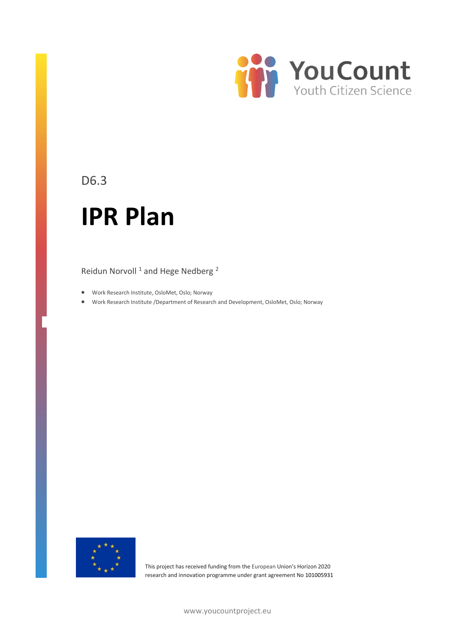

### D6.3

# **IPR Plan**

Reidun Norvoll<sup>1</sup> and Hege Nedberg<sup>2</sup>

- Work Research Institute, OsloMet, Oslo; Norway
- Work Research Institute /Department of Research and Development, OsloMet, Oslo; Norway



This project has received funding from the European Union's Horizon 2020 research and innovation programme under grant agreement No 101005931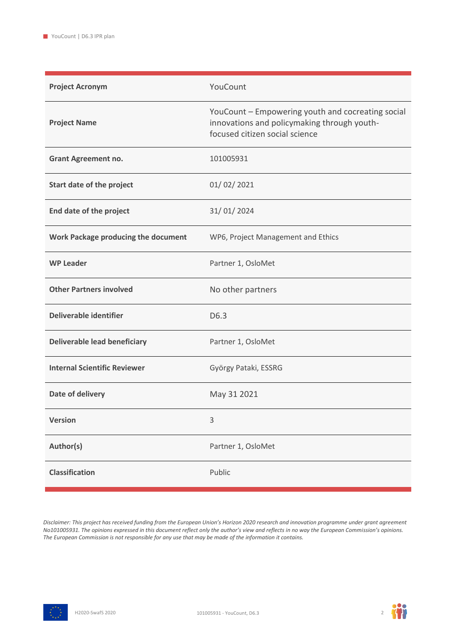| <b>Project Acronym</b>              | YouCount                                                                                                                           |
|-------------------------------------|------------------------------------------------------------------------------------------------------------------------------------|
| <b>Project Name</b>                 | YouCount - Empowering youth and cocreating social<br>innovations and policymaking through youth-<br>focused citizen social science |
| <b>Grant Agreement no.</b>          | 101005931                                                                                                                          |
| Start date of the project           | 01/02/2021                                                                                                                         |
| End date of the project             | 31/01/2024                                                                                                                         |
| Work Package producing the document | WP6, Project Management and Ethics                                                                                                 |
| <b>WP Leader</b>                    | Partner 1, OsloMet                                                                                                                 |
| <b>Other Partners involved</b>      | No other partners                                                                                                                  |
| Deliverable identifier              | D6.3                                                                                                                               |
| <b>Deliverable lead beneficiary</b> | Partner 1, OsloMet                                                                                                                 |
| <b>Internal Scientific Reviewer</b> | György Pataki, ESSRG                                                                                                               |
| Date of delivery                    | May 31 2021                                                                                                                        |
| <b>Version</b>                      | 3                                                                                                                                  |
| Author(s)                           | Partner 1, OsloMet                                                                                                                 |
| <b>Classification</b>               | Public                                                                                                                             |

*Disclaimer: This project has received funding from the European Union's Horizon 2020 research and innovation programme under grant agreement No101005931. The opinions expressed in this document reflect only the author's view and reflects in no way the European Commission's opinions. The European Commission is not responsible for any use that may be made of the information it contains.*



m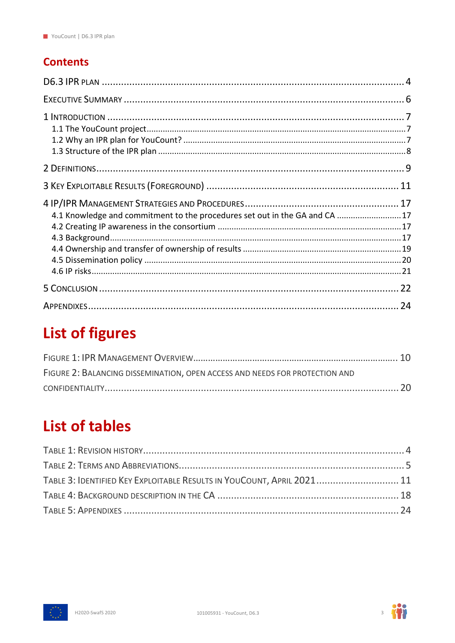### **Contents**

| 4.1 Knowledge and commitment to the procedures set out in the GA and CA 17 |  |
|----------------------------------------------------------------------------|--|
|                                                                            |  |
|                                                                            |  |

## **List of figures**

| FIGURE 2: BALANCING DISSEMINATION, OPEN ACCESS AND NEEDS FOR PROTECTION AND |  |
|-----------------------------------------------------------------------------|--|
|                                                                             |  |

## **List of tables**

| TABLE 3: IDENTIFIED KEY EXPLOITABLE RESULTS IN YOUCOUNT, APRIL 2021 11 |
|------------------------------------------------------------------------|
|                                                                        |
|                                                                        |
|                                                                        |



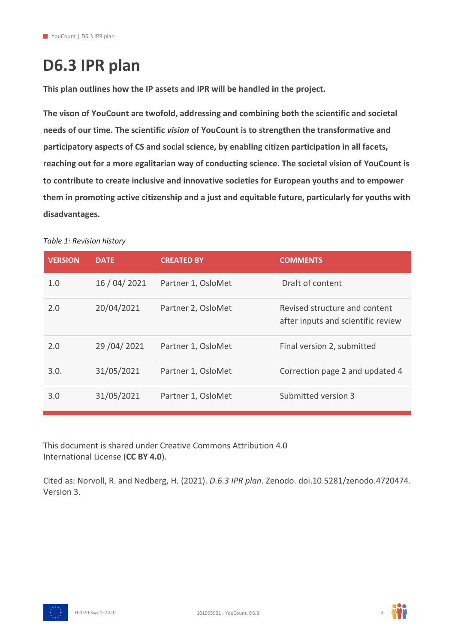## <span id="page-3-0"></span>**D6.3 IPR plan**

**This plan outlines how the IP assets and IPR will be handled in the project.** 

**The vison of YouCount are twofold, addressing and combining both the scientific and societal needs of our time. The scientific** *vision* **of YouCount is to strengthen the transformative and participatory aspects of CS and social science, by enabling citizen participation in all facets, reaching out for a more egalitarian way of conducting science. The societal vision of YouCount is to contribute to create inclusive and innovative societies for European youths and to empower them in promoting active citizenship and a just and equitable future, particularly for youths with disadvantages.**

#### <span id="page-3-1"></span>*Table 1: Revision history*

| <b>VERSION</b> | <b>DATE</b>    | <b>CREATED BY</b>  | <b>COMMENTS</b>                                                     |
|----------------|----------------|--------------------|---------------------------------------------------------------------|
| 1.0            | 16 / 04 / 2021 | Partner 1, OsloMet | Draft of content                                                    |
| 2.0            | 20/04/2021     | Partner 2, OsloMet | Revised structure and content<br>after inputs and scientific review |
| 2.0            | 29 / 04 / 2021 | Partner 1, OsloMet | Final version 2, submitted                                          |
| 3.0.           | 31/05/2021     | Partner 1, OsloMet | Correction page 2 and updated 4                                     |
| 3.0            | 31/05/2021     | Partner 1, OsloMet | Submitted version 3                                                 |

This document is shared under Creative Commons Attribution 4.0 International License (**CC BY 4.0**).

Cited as: Norvoll, R. and Nedberg, H. (2021). *D.6.3 IPR plan*. Zenodo. doi.10.5281/zenodo.4720474. Version 3.



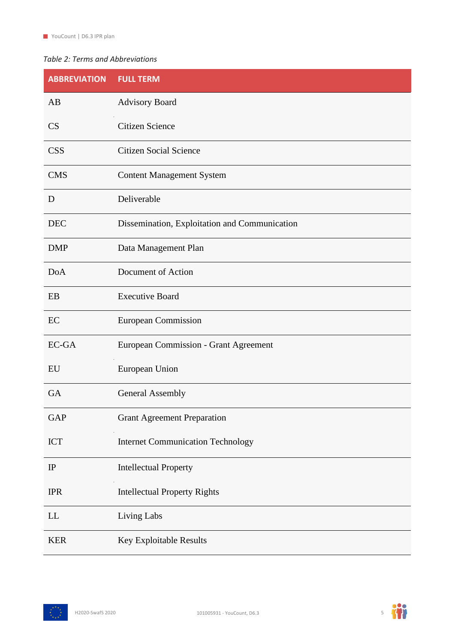#### <span id="page-4-0"></span>*Table 2: Terms and Abbreviations*

| <b>ABBREVIATION</b> | <b>FULL TERM</b>                              |
|---------------------|-----------------------------------------------|
| AB                  | <b>Advisory Board</b>                         |
| CS                  | <b>Citizen Science</b>                        |
| <b>CSS</b>          | <b>Citizen Social Science</b>                 |
| <b>CMS</b>          | <b>Content Management System</b>              |
| D                   | Deliverable                                   |
| <b>DEC</b>          | Dissemination, Exploitation and Communication |
| <b>DMP</b>          | Data Management Plan                          |
| <b>DoA</b>          | Document of Action                            |
| EB                  | <b>Executive Board</b>                        |
| EC                  | <b>European Commission</b>                    |
| EC-GA               | <b>European Commission - Grant Agreement</b>  |
| EU                  | European Union                                |
| <b>GA</b>           | <b>General Assembly</b>                       |
| <b>GAP</b>          | <b>Grant Agreement Preparation</b>            |
| <b>ICT</b>          | <b>Internet Communication Technology</b>      |
| IP                  | <b>Intellectual Property</b>                  |
| <b>IPR</b>          | <b>Intellectual Property Rights</b>           |
| LL                  | Living Labs                                   |
| <b>KER</b>          | Key Exploitable Results                       |



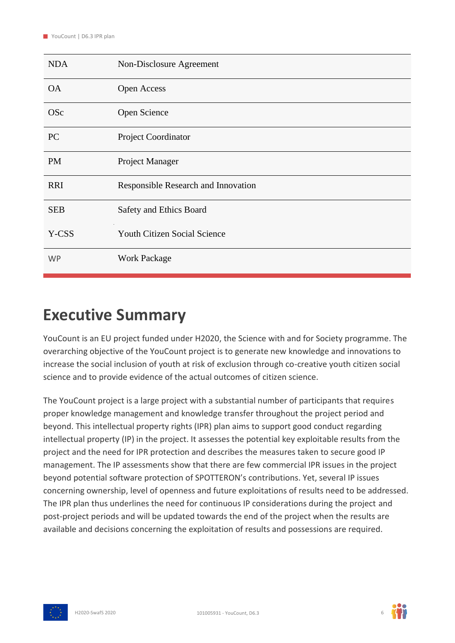| <b>NDA</b> | Non-Disclosure Agreement            |
|------------|-------------------------------------|
| <b>OA</b>  | Open Access                         |
| <b>OSc</b> | Open Science                        |
| <b>PC</b>  | Project Coordinator                 |
| <b>PM</b>  | Project Manager                     |
| <b>RRI</b> | Responsible Research and Innovation |
| <b>SEB</b> | Safety and Ethics Board             |
| Y-CSS      | <b>Youth Citizen Social Science</b> |
| <b>WP</b>  | <b>Work Package</b>                 |

### <span id="page-5-0"></span>**Executive Summary**

YouCount is an EU project funded under H2020, the Science with and for Society programme. The overarching objective of the YouCount project is to generate new knowledge and innovations to increase the social inclusion of youth at risk of exclusion through co-creative youth citizen social science and to provide evidence of the actual outcomes of citizen science.

The YouCount project is a large project with a substantial number of participants that requires proper knowledge management and knowledge transfer throughout the project period and beyond. This intellectual property rights (IPR) plan aims to support good conduct regarding intellectual property (IP) in the project. It assesses the potential key exploitable results from the project and the need for IPR protection and describes the measures taken to secure good IP management. The IP assessments show that there are few commercial IPR issues in the project beyond potential software protection of SPOTTERON's contributions. Yet, several IP issues concerning ownership, level of openness and future exploitations of results need to be addressed. The IPR plan thus underlines the need for continuous IP considerations during the project and post-project periods and will be updated towards the end of the project when the results are available and decisions concerning the exploitation of results and possessions are required.



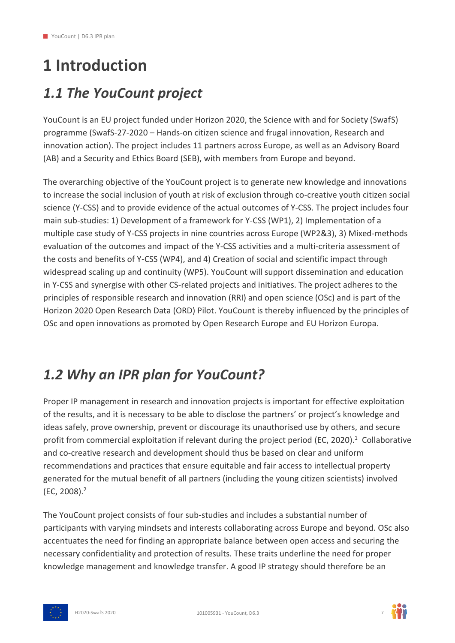# <span id="page-6-0"></span>**1 Introduction**

### <span id="page-6-1"></span>*1.1 The YouCount project*

YouCount is an EU project funded under Horizon 2020, the Science with and for Society (SwafS) programme (SwafS-27-2020 – Hands-on citizen science and frugal innovation, Research and innovation action). The project includes 11 partners across Europe, as well as an Advisory Board (AB) and a Security and Ethics Board (SEB), with members from Europe and beyond.

The overarching objective of the YouCount project is to generate new knowledge and innovations to increase the social inclusion of youth at risk of exclusion through co-creative youth citizen social science (Y-CSS) and to provide evidence of the actual outcomes of Y-CSS. The project includes four main sub-studies: 1) Development of a framework for Y-CSS (WP1), 2) Implementation of a multiple case study of Y-CSS projects in nine countries across Europe (WP2&3), 3) Mixed-methods evaluation of the outcomes and impact of the Y-CSS activities and a multi-criteria assessment of the costs and benefits of Y-CSS (WP4), and 4) Creation of social and scientific impact through widespread scaling up and continuity (WP5). YouCount will support dissemination and education in Y-CSS and synergise with other CS-related projects and initiatives. The project adheres to the principles of responsible research and innovation (RRI) and open science (OSc) and is part of the Horizon 2020 Open Research Data (ORD) Pilot. YouCount is thereby influenced by the principles of OSc and open innovations as promoted by Open Research Europe and EU Horizon Europa.

### <span id="page-6-2"></span>*1.2 Why an IPR plan for YouCount?*

Proper IP management in research and innovation projects is important for effective exploitation of the results, and it is necessary to be able to disclose the partners' or project's knowledge and ideas safely, prove ownership, prevent or discourage its unauthorised use by others, and secure profit from commercial exploitation if relevant during the project period (EC, 2020).<sup>1</sup> Collaborative and co-creative research and development should thus be based on clear and uniform recommendations and practices that ensure equitable and fair access to intellectual property generated for the mutual benefit of all partners (including the young citizen scientists) involved (EC, 2008). $<sup>2</sup>$ </sup>

The YouCount project consists of four sub-studies and includes a substantial number of participants with varying mindsets and interests collaborating across Europe and beyond. OSc also accentuates the need for finding an appropriate balance between open access and securing the necessary confidentiality and protection of results. These traits underline the need for proper knowledge management and knowledge transfer. A good IP strategy should therefore be an



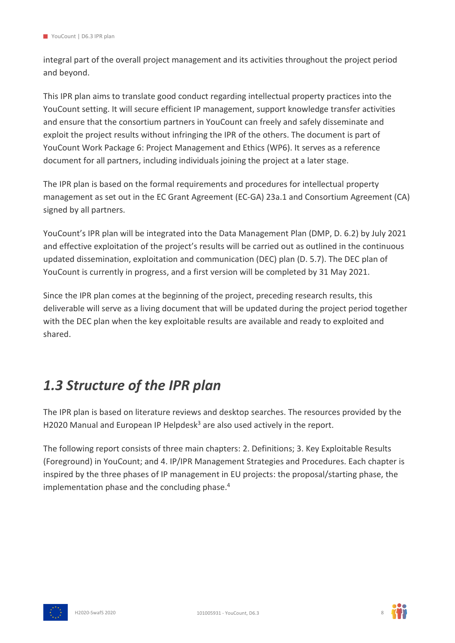integral part of the overall project management and its activities throughout the project period and beyond.

This IPR plan aims to translate good conduct regarding intellectual property practices into the YouCount setting. It will secure efficient IP management, support knowledge transfer activities and ensure that the consortium partners in YouCount can freely and safely disseminate and exploit the project results without infringing the IPR of the others. The document is part of YouCount Work Package 6: Project Management and Ethics (WP6). It serves as a reference document for all partners, including individuals joining the project at a later stage.

The IPR plan is based on the formal requirements and procedures for intellectual property management as set out in the EC Grant Agreement (EC-GA) 23a.1 and Consortium Agreement (CA) signed by all partners.

YouCount's IPR plan will be integrated into the Data Management Plan (DMP, D. 6.2) by July 2021 and effective exploitation of the project's results will be carried out as outlined in the continuous updated dissemination, exploitation and communication (DEC) plan (D. 5.7). The DEC plan of YouCount is currently in progress, and a first version will be completed by 31 May 2021.

Since the IPR plan comes at the beginning of the project, preceding research results, this deliverable will serve as a living document that will be updated during the project period together with the DEC plan when the key exploitable results are available and ready to exploited and shared.

### <span id="page-7-0"></span>*1.3 Structure of the IPR plan*

The IPR plan is based on literature reviews and desktop searches. The resources provided by the H2020 Manual and European IP Helpdesk<sup>3</sup> are also used actively in the report.

The following report consists of three main chapters: 2. Definitions; 3. Key Exploitable Results (Foreground) in YouCount; and 4. IP/IPR Management Strategies and Procedures. Each chapter is inspired by the three phases of IP management in EU projects: the proposal/starting phase, the implementation phase and the concluding phase.<sup>4</sup>



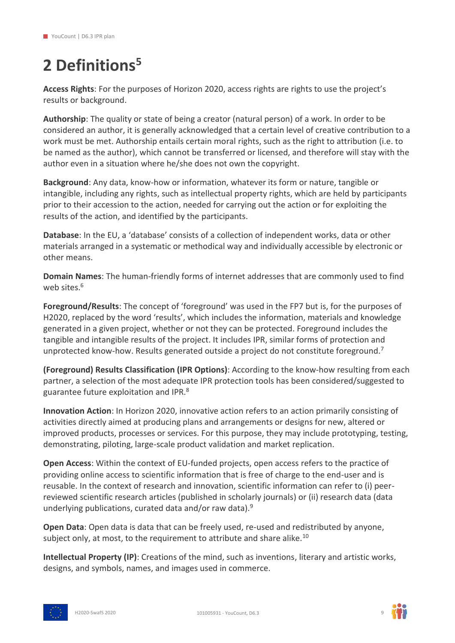## <span id="page-8-0"></span>**2 Definitions<sup>5</sup>**

**Access Rights**: For the purposes of Horizon 2020, access rights are rights to use the project's results or background.

**Authorship**: The quality or state of being a creator (natural person) of a work. In order to be considered an author, it is generally acknowledged that a certain level of creative contribution to a work must be met. Authorship entails certain moral rights, such as the right to attribution (i.e. to be named as the author), which cannot be transferred or licensed, and therefore will stay with the author even in a situation where he/she does not own the copyright.

**Background**: Any data, know-how or information, whatever its form or nature, tangible or intangible, including any rights, such as intellectual property rights, which are held by participants prior to their accession to the action, needed for carrying out the action or for exploiting the results of the action, and identified by the participants.

**Database**: In the EU, a 'database' consists of a collection of independent works, data or other materials arranged in a systematic or methodical way and individually accessible by electronic or other means.

**Domain Names**: The human-friendly forms of internet addresses that are commonly used to find web sites.<sup>6</sup>

**Foreground/Results**: The concept of 'foreground' was used in the FP7 but is, for the purposes of H2020, replaced by the word 'results', which includes the information, materials and knowledge generated in a given project, whether or not they can be protected. Foreground includes the tangible and intangible results of the project. It includes IPR, similar forms of protection and unprotected know-how. Results generated outside a project do not constitute foreground.<sup>7</sup>

**(Foreground) Results Classification (IPR Options)**: According to the know-how resulting from each partner, a selection of the most adequate IPR protection tools has been considered/suggested to guarantee future exploitation and IPR.<sup>8</sup>

**Innovation Action**: In Horizon 2020, innovative action refers to an action primarily consisting of activities directly aimed at producing plans and arrangements or designs for new, altered or improved products, processes or services. For this purpose, they may include prototyping, testing, demonstrating, piloting, large-scale product validation and market replication.

**Open Access**: Within the context of EU-funded projects, open access refers to the practice of providing online access to scientific information that is free of charge to the end-user and is reusable. In the context of research and innovation, scientific information can refer to (i) peerreviewed scientific research articles (published in scholarly journals) or (ii) research data (data underlying publications, curated data and/or raw data).<sup>9</sup>

**Open Data**: Open data is data that can be freely used, re-used and redistributed by anyone, subject only, at most, to the requirement to attribute and share alike.<sup>10</sup>

**Intellectual Property (IP)**: Creations of the mind, such as inventions, literary and artistic works, designs, and symbols, names, and images used in commerce.



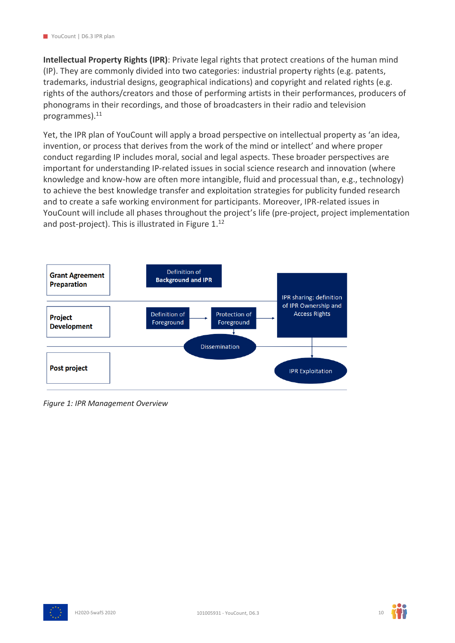**Intellectual Property Rights (IPR)**: Private legal rights that protect creations of the human mind (IP). They are commonly divided into two categories: industrial property rights (e.g. patents, trademarks, industrial designs, geographical indications) and copyright and related rights (e.g. rights of the authors/creators and those of performing artists in their performances, producers of phonograms in their recordings, and those of broadcasters in their radio and television programmes).<sup>11</sup>

Yet, the IPR plan of YouCount will apply a broad perspective on intellectual property as 'an idea, invention, or process that derives from the work of the mind or intellect' and where proper conduct regarding IP includes moral, social and legal aspects. These broader perspectives are important for understanding IP-related issues in social science research and innovation (where knowledge and know-how are often more intangible, fluid and processual than, e.g., technology) to achieve the best knowledge transfer and exploitation strategies for publicity funded research and to create a safe working environment for participants. Moreover, IPR-related issues in YouCount will include all phases throughout the project's life (pre-project, project implementation and post-project). This is illustrated in Figure 1.<sup>12</sup>



*Figure 1: IPR Management Overview*



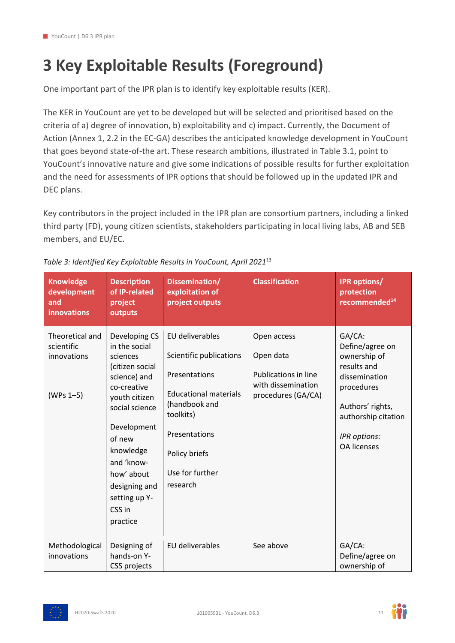# <span id="page-10-0"></span>**3 Key Exploitable Results (Foreground)**

One important part of the IPR plan is to identify key exploitable results (KER).

The KER in YouCount are yet to be developed but will be selected and prioritised based on the criteria of a) degree of innovation, b) exploitability and c) impact. Currently, the Document of Action (Annex 1, 2.2 in the EC-GA) describes the anticipated knowledge development in YouCount that goes beyond state-of-the art. These research ambitions, illustrated in Table 3.1, point to YouCount's innovative nature and give some indications of possible results for further exploitation and the need for assessments of IPR options that should be followed up in the updated IPR and DEC plans.

Key contributors in the project included in the IPR plan are consortium partners, including a linked third party (FD), young citizen scientists, stakeholders participating in local living labs, AB and SEB members, and EU/EC.

| <b>Knowledge</b><br>development<br>and<br><b>innovations</b> | <b>Description</b><br>of IP-related<br>project<br>outputs                                                                                                                                                                                                 | Dissemination/<br>exploitation of<br>project outputs                                                                                                                                       | <b>Classification</b>                                                                               | <b>IPR options/</b><br>protection<br>recommended <sup>14</sup>                                                                                                           |
|--------------------------------------------------------------|-----------------------------------------------------------------------------------------------------------------------------------------------------------------------------------------------------------------------------------------------------------|--------------------------------------------------------------------------------------------------------------------------------------------------------------------------------------------|-----------------------------------------------------------------------------------------------------|--------------------------------------------------------------------------------------------------------------------------------------------------------------------------|
| Theoretical and<br>scientific<br>innovations<br>$(WPs 1-5)$  | Developing CS<br>in the social<br>sciences<br>(citizen social<br>science) and<br>co-creative<br>youth citizen<br>social science<br>Development<br>of new<br>knowledge<br>and 'know-<br>how' about<br>designing and<br>setting up Y-<br>CSS in<br>practice | EU deliverables<br>Scientific publications<br>Presentations<br><b>Educational materials</b><br>(handbook and<br>toolkits)<br>Presentations<br>Policy briefs<br>Use for further<br>research | Open access<br>Open data<br><b>Publications in line</b><br>with dissemination<br>procedures (GA/CA) | GA/CA:<br>Define/agree on<br>ownership of<br>results and<br>dissemination<br>procedures<br>Authors' rights,<br>authorship citation<br>IPR options:<br><b>OA licenses</b> |
| Methodological<br>innovations                                | Designing of<br>hands-on Y-<br>CSS projects                                                                                                                                                                                                               | EU deliverables                                                                                                                                                                            | See above                                                                                           | GA/CA:<br>Define/agree on<br>ownership of                                                                                                                                |

#### <span id="page-10-1"></span>*Table 3: Identified Key Exploitable Results in YouCount, April 2021*<sup>13</sup>



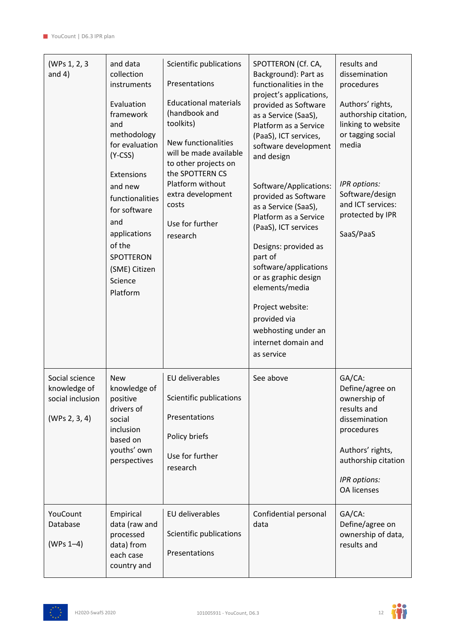| (WPs 1, 2, 3<br>and $4)$                                            | and data<br>collection<br>instruments<br>Evaluation<br>framework<br>and<br>methodology<br>for evaluation<br>$(Y-CSS)$<br>Extensions<br>and new<br>functionalities<br>for software<br>and<br>applications<br>of the<br><b>SPOTTERON</b><br>(SME) Citizen<br>Science<br>Platform | Scientific publications<br>Presentations<br><b>Educational materials</b><br>(handbook and<br>toolkits)<br>New functionalities<br>will be made available<br>to other projects on<br>the SPOTTERN CS<br>Platform without<br>extra development<br>costs<br>Use for further<br>research | SPOTTERON (Cf. CA,<br>Background): Part as<br>functionalities in the<br>project's applications,<br>provided as Software<br>as a Service (SaaS),<br>Platform as a Service<br>(PaaS), ICT services,<br>software development<br>and design<br>Software/Applications:<br>provided as Software<br>as a Service (SaaS),<br>Platform as a Service<br>(PaaS), ICT services<br>Designs: provided as<br>part of<br>software/applications<br>or as graphic design<br>elements/media<br>Project website:<br>provided via<br>webhosting under an<br>internet domain and<br>as service | results and<br>dissemination<br>procedures<br>Authors' rights,<br>authorship citation,<br>linking to website<br>or tagging social<br>media<br>IPR options:<br>Software/design<br>and ICT services:<br>protected by IPR<br>SaaS/PaaS |
|---------------------------------------------------------------------|--------------------------------------------------------------------------------------------------------------------------------------------------------------------------------------------------------------------------------------------------------------------------------|-------------------------------------------------------------------------------------------------------------------------------------------------------------------------------------------------------------------------------------------------------------------------------------|--------------------------------------------------------------------------------------------------------------------------------------------------------------------------------------------------------------------------------------------------------------------------------------------------------------------------------------------------------------------------------------------------------------------------------------------------------------------------------------------------------------------------------------------------------------------------|-------------------------------------------------------------------------------------------------------------------------------------------------------------------------------------------------------------------------------------|
| Social science<br>knowledge of<br>social inclusion<br>(WPs 2, 3, 4) | <b>New</b><br>knowledge of<br>positive<br>drivers of<br>social<br>inclusion<br>based on<br>youths' own<br>perspectives                                                                                                                                                         | EU deliverables<br>Scientific publications<br>Presentations<br>Policy briefs<br>Use for further<br>research                                                                                                                                                                         | See above                                                                                                                                                                                                                                                                                                                                                                                                                                                                                                                                                                | GA/CA:<br>Define/agree on<br>ownership of<br>results and<br>dissemination<br>procedures<br>Authors' rights,<br>authorship citation<br>IPR options:<br><b>OA licenses</b>                                                            |
| YouCount<br>Database<br>$(WPs 1-4)$                                 | Empirical<br>data (raw and<br>processed<br>data) from<br>each case<br>country and                                                                                                                                                                                              | EU deliverables<br>Scientific publications<br>Presentations                                                                                                                                                                                                                         | Confidential personal<br>data                                                                                                                                                                                                                                                                                                                                                                                                                                                                                                                                            | GA/CA:<br>Define/agree on<br>ownership of data,<br>results and                                                                                                                                                                      |



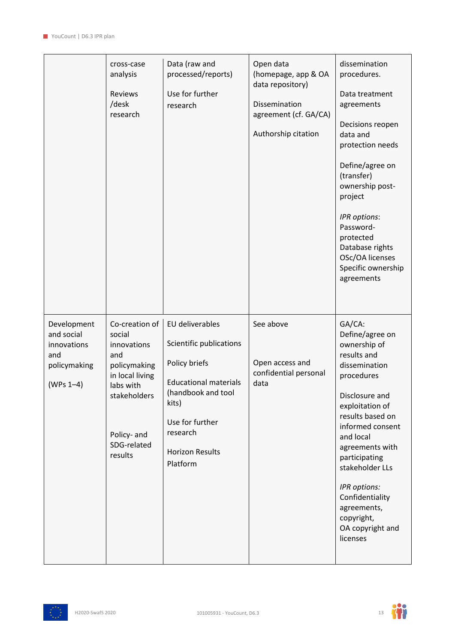|                                                                                | cross-case<br>analysis<br>Reviews<br>/desk<br>research                                                                                                  | Data (raw and<br>processed/reports)<br>Use for further<br>research                                                                                                                              | Open data<br>(homepage, app & OA<br>data repository)<br>Dissemination<br>agreement (cf. GA/CA)<br>Authorship citation | dissemination<br>procedures.<br>Data treatment<br>agreements<br>Decisions reopen<br>data and<br>protection needs<br>Define/agree on<br>(transfer)<br>ownership post-<br>project<br>IPR options:<br>Password-<br>protected<br>Database rights<br>OSc/OA licenses<br>Specific ownership<br>agreements                                      |
|--------------------------------------------------------------------------------|---------------------------------------------------------------------------------------------------------------------------------------------------------|-------------------------------------------------------------------------------------------------------------------------------------------------------------------------------------------------|-----------------------------------------------------------------------------------------------------------------------|------------------------------------------------------------------------------------------------------------------------------------------------------------------------------------------------------------------------------------------------------------------------------------------------------------------------------------------|
| Development<br>and social<br>innovations<br>and<br>policymaking<br>$(WPs 1-4)$ | Co-creation of<br>social<br>innovations<br>and<br>policymaking<br>in local living<br>labs with<br>stakeholders<br>Policy- and<br>SDG-related<br>results | EU deliverables<br>Scientific publications<br>Policy briefs<br><b>Educational materials</b><br>(handbook and tool<br>kits)<br>Use for further<br>research<br><b>Horizon Results</b><br>Platform | See above<br>Open access and<br>confidential personal<br>data                                                         | GA/CA:<br>Define/agree on<br>ownership of<br>results and<br>dissemination<br>procedures<br>Disclosure and<br>exploitation of<br>results based on<br>informed consent<br>and local<br>agreements with<br>participating<br>stakeholder LLs<br>IPR options:<br>Confidentiality<br>agreements,<br>copyright,<br>OA copyright and<br>licenses |

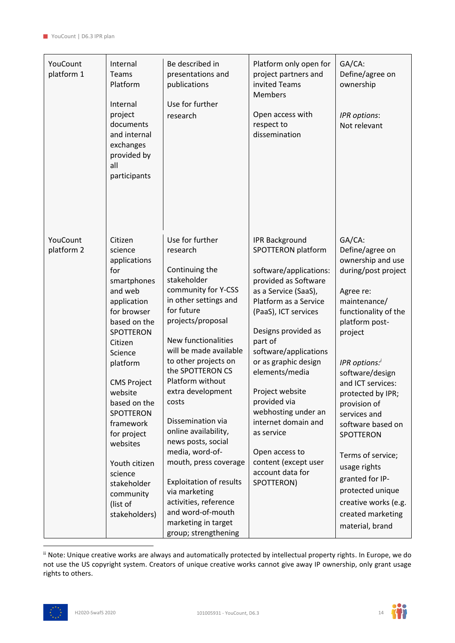| YouCount<br>platform 1 | Internal<br>Teams<br>Platform<br>Internal<br>project<br>documents<br>and internal<br>exchanges<br>provided by<br>all<br>participants                                                                                                                                                                                                                        | Be described in<br>presentations and<br>publications<br>Use for further<br>research                                                                                                                                                                                                                                                                                                                                                                                                                                                                           | Platform only open for<br>project partners and<br>invited Teams<br><b>Members</b><br>Open access with<br>respect to<br>dissemination                                                                                                                                                                                                                                                                                                                   | GA/CA:<br>Define/agree on<br>ownership<br>IPR options:<br>Not relevant                                                                                                                                                                                                                                                                                                                                                                              |
|------------------------|-------------------------------------------------------------------------------------------------------------------------------------------------------------------------------------------------------------------------------------------------------------------------------------------------------------------------------------------------------------|---------------------------------------------------------------------------------------------------------------------------------------------------------------------------------------------------------------------------------------------------------------------------------------------------------------------------------------------------------------------------------------------------------------------------------------------------------------------------------------------------------------------------------------------------------------|--------------------------------------------------------------------------------------------------------------------------------------------------------------------------------------------------------------------------------------------------------------------------------------------------------------------------------------------------------------------------------------------------------------------------------------------------------|-----------------------------------------------------------------------------------------------------------------------------------------------------------------------------------------------------------------------------------------------------------------------------------------------------------------------------------------------------------------------------------------------------------------------------------------------------|
| YouCount<br>platform 2 | Citizen<br>science<br>applications<br>for<br>smartphones<br>and web<br>application<br>for browser<br>based on the<br>SPOTTERON<br>Citizen<br>Science<br>platform<br><b>CMS Project</b><br>website<br>based on the<br>SPOTTERON<br>framework<br>for project<br>websites<br>Youth citizen<br>science<br>stakeholder<br>community<br>(list of<br>stakeholders) | Use for further<br>research<br>Continuing the<br>stakeholder<br>community for Y-CSS<br>in other settings and<br>for future<br>projects/proposal<br>New functionalities<br>will be made available<br>to other projects on<br>the SPOTTERON CS<br>Platform without<br>extra development<br>costs<br>Dissemination via<br>online availability,<br>news posts, social<br>media, word-of-<br>mouth, press coverage<br><b>Exploitation of results</b><br>via marketing<br>activities, reference<br>and word-of-mouth<br>marketing in target<br>group; strengthening | <b>IPR Background</b><br>SPOTTERON platform<br>software/applications:<br>provided as Software<br>as a Service (SaaS),<br>Platform as a Service<br>(PaaS), ICT services<br>Designs provided as<br>part of<br>software/applications<br>or as graphic design<br>elements/media<br>Project website<br>provided via<br>webhosting under an<br>internet domain and<br>as service<br>Open access to<br>content (except user<br>account data for<br>SPOTTERON) | GA/CA:<br>Define/agree on<br>ownership and use<br>during/post project<br>Agree re:<br>maintenance/<br>functionality of the<br>platform post-<br>project<br>IPR options:'<br>software/design<br>and ICT services:<br>protected by IPR;<br>provision of<br>services and<br>software based on<br>SPOTTERON<br>Terms of service;<br>usage rights<br>granted for IP-<br>protected unique<br>creative works (e.g.<br>created marketing<br>material, brand |

ii Note: Unique creative works are always and automatically protected by intellectual property rights. In Europe, we do not use the US copyright system. Creators of unique creative works cannot give away IP ownership, only grant usage rights to others.



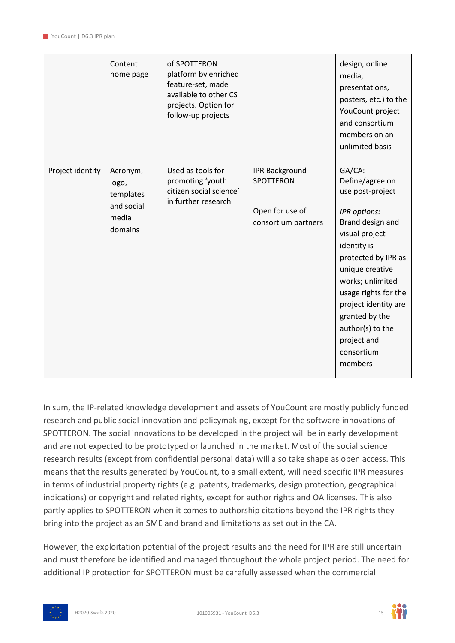|                  | Content<br>home page                                             | of SPOTTERON<br>platform by enriched<br>feature-set, made<br>available to other CS<br>projects. Option for<br>follow-up projects |                                                                              | design, online<br>media,<br>presentations,<br>posters, etc.) to the<br>YouCount project<br>and consortium<br>members on an<br>unlimited basis                                                                                                                                                                  |
|------------------|------------------------------------------------------------------|----------------------------------------------------------------------------------------------------------------------------------|------------------------------------------------------------------------------|----------------------------------------------------------------------------------------------------------------------------------------------------------------------------------------------------------------------------------------------------------------------------------------------------------------|
| Project identity | Acronym,<br>logo,<br>templates<br>and social<br>media<br>domains | Used as tools for<br>promoting 'youth<br>citizen social science'<br>in further research                                          | <b>IPR Background</b><br>SPOTTERON<br>Open for use of<br>consortium partners | GA/CA:<br>Define/agree on<br>use post-project<br>IPR options:<br>Brand design and<br>visual project<br>identity is<br>protected by IPR as<br>unique creative<br>works; unlimited<br>usage rights for the<br>project identity are<br>granted by the<br>author(s) to the<br>project and<br>consortium<br>members |

In sum, the IP-related knowledge development and assets of YouCount are mostly publicly funded research and public social innovation and policymaking, except for the software innovations of SPOTTERON. The social innovations to be developed in the project will be in early development and are not expected to be prototyped or launched in the market. Most of the social science research results (except from confidential personal data) will also take shape as open access. This means that the results generated by YouCount, to a small extent, will need specific IPR measures in terms of industrial property rights (e.g. patents, trademarks, design protection, geographical indications) or copyright and related rights, except for author rights and OA licenses. This also partly applies to SPOTTERON when it comes to authorship citations beyond the IPR rights they bring into the project as an SME and brand and limitations as set out in the CA.

However, the exploitation potential of the project results and the need for IPR are still uncertain and must therefore be identified and managed throughout the whole project period. The need for additional IP protection for SPOTTERON must be carefully assessed when the commercial





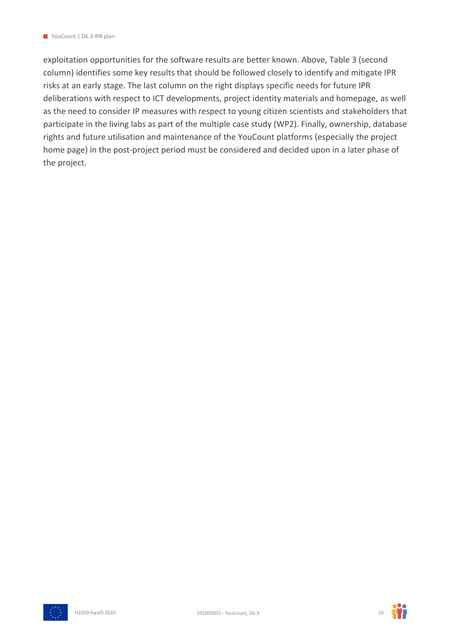exploitation opportunities for the software results are better known. Above, Table 3 (second column) identifies some key results that should be followed closely to identify and mitigate IPR risks at an early stage. The last column on the right displays specific needs for future IPR deliberations with respect to ICT developments, project identity materials and homepage, as well as the need to consider IP measures with respect to young citizen scientists and stakeholders that participate in the living labs as part of the multiple case study (WP2). Finally, ownership, database rights and future utilisation and maintenance of the YouCount platforms (especially the project home page) in the post-project period must be considered and decided upon in a later phase of the project.



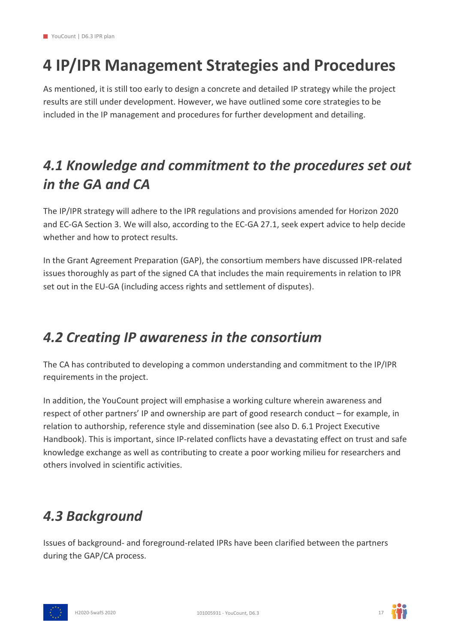## <span id="page-16-0"></span>**4 IP/IPR Management Strategies and Procedures**

As mentioned, it is still too early to design a concrete and detailed IP strategy while the project results are still under development. However, we have outlined some core strategies to be included in the IP management and procedures for further development and detailing.

### <span id="page-16-1"></span>*4.1 Knowledge and commitment to the procedures set out in the GA and CA*

The IP/IPR strategy will adhere to the IPR regulations and provisions amended for Horizon 2020 and EC-GA Section 3. We will also, according to the EC-GA 27.1, seek expert advice to help decide whether and how to protect results.

In the Grant Agreement Preparation (GAP), the consortium members have discussed IPR-related issues thoroughly as part of the signed CA that includes the main requirements in relation to IPR set out in the EU-GA (including access rights and settlement of disputes).

### <span id="page-16-2"></span>*4.2 Creating IP awareness in the consortium*

The CA has contributed to developing a common understanding and commitment to the IP/IPR requirements in the project.

In addition, the YouCount project will emphasise a working culture wherein awareness and respect of other partners' IP and ownership are part of good research conduct – for example, in relation to authorship, reference style and dissemination (see also D. 6.1 Project Executive Handbook). This is important, since IP-related conflicts have a devastating effect on trust and safe knowledge exchange as well as contributing to create a poor working milieu for researchers and others involved in scientific activities.

### <span id="page-16-3"></span>*4.3 Background*

Issues of background- and foreground-related IPRs have been clarified between the partners during the GAP/CA process.



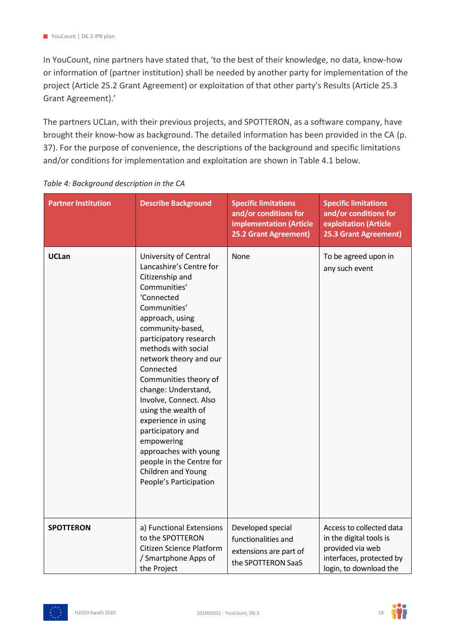In YouCount, nine partners have stated that, 'to the best of their knowledge, no data, know-how or information of (partner institution) shall be needed by another party for implementation of the project (Article 25.2 Grant Agreement) or exploitation of that other party's Results (Article 25.3 Grant Agreement).'

The partners UCLan, with their previous projects, and SPOTTERON, as a software company, have brought their know-how as background. The detailed information has been provided in the CA (p. 37). For the purpose of convenience, the descriptions of the background and specific limitations and/or conditions for implementation and exploitation are shown in Table 4.1 below.

| <b>Partner Institution</b> | <b>Describe Background</b>                                                                                                                                                                                                                                                                                                                                                                                                                                                                                       | <b>Specific limitations</b><br>and/or conditions for<br>implementation (Article<br>25.2 Grant Agreement) | <b>Specific limitations</b><br>and/or conditions for<br>exploitation (Article<br>25.3 Grant Agreement)                        |
|----------------------------|------------------------------------------------------------------------------------------------------------------------------------------------------------------------------------------------------------------------------------------------------------------------------------------------------------------------------------------------------------------------------------------------------------------------------------------------------------------------------------------------------------------|----------------------------------------------------------------------------------------------------------|-------------------------------------------------------------------------------------------------------------------------------|
| <b>UCLan</b>               | University of Central<br>Lancashire's Centre for<br>Citizenship and<br>Communities'<br>'Connected<br>Communities'<br>approach, using<br>community-based,<br>participatory research<br>methods with social<br>network theory and our<br>Connected<br>Communities theory of<br>change: Understand,<br>Involve, Connect. Also<br>using the wealth of<br>experience in using<br>participatory and<br>empowering<br>approaches with young<br>people in the Centre for<br>Children and Young<br>People's Participation | None                                                                                                     | To be agreed upon in<br>any such event                                                                                        |
| <b>SPOTTERON</b>           | a) Functional Extensions<br>to the SPOTTERON<br>Citizen Science Platform<br>/ Smartphone Apps of<br>the Project                                                                                                                                                                                                                                                                                                                                                                                                  | Developed special<br>functionalities and<br>extensions are part of<br>the SPOTTERON SaaS                 | Access to collected data<br>in the digital tools is<br>provided via web<br>interfaces, protected by<br>login, to download the |

<span id="page-17-0"></span>*Table 4: Background description in the CA*



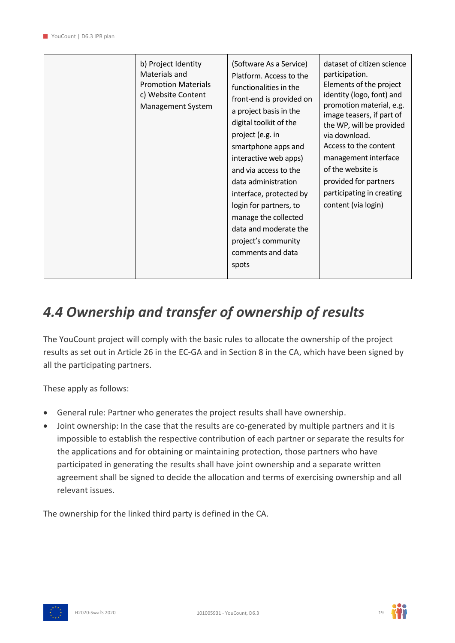| b) Project Identity<br>Materials and<br><b>Promotion Materials</b><br>c) Website Content<br>Management System | (Software As a Service)<br>Platform. Access to the<br>functionalities in the<br>front-end is provided on<br>a project basis in the<br>digital toolkit of the<br>project (e.g. in<br>smartphone apps and<br>interactive web apps)<br>and via access to the<br>data administration<br>interface, protected by<br>login for partners, to<br>manage the collected<br>data and moderate the<br>project's community<br>comments and data<br>spots | dataset of citizen science<br>participation.<br>Elements of the project<br>identity (logo, font) and<br>promotion material, e.g.<br>image teasers, if part of<br>the WP, will be provided<br>via download.<br>Access to the content<br>management interface<br>of the website is<br>provided for partners<br>participating in creating<br>content (via login) |
|---------------------------------------------------------------------------------------------------------------|---------------------------------------------------------------------------------------------------------------------------------------------------------------------------------------------------------------------------------------------------------------------------------------------------------------------------------------------------------------------------------------------------------------------------------------------|---------------------------------------------------------------------------------------------------------------------------------------------------------------------------------------------------------------------------------------------------------------------------------------------------------------------------------------------------------------|
|---------------------------------------------------------------------------------------------------------------|---------------------------------------------------------------------------------------------------------------------------------------------------------------------------------------------------------------------------------------------------------------------------------------------------------------------------------------------------------------------------------------------------------------------------------------------|---------------------------------------------------------------------------------------------------------------------------------------------------------------------------------------------------------------------------------------------------------------------------------------------------------------------------------------------------------------|

### <span id="page-18-0"></span>*4.4 Ownership and transfer of ownership of results*

The YouCount project will comply with the basic rules to allocate the ownership of the project results as set out in Article 26 in the EC-GA and in Section 8 in the CA, which have been signed by all the participating partners.

These apply as follows:

- General rule: Partner who generates the project results shall have ownership.
- Joint ownership: In the case that the results are co-generated by multiple partners and it is impossible to establish the respective contribution of each partner or separate the results for the applications and for obtaining or maintaining protection, those partners who have participated in generating the results shall have joint ownership and a separate written agreement shall be signed to decide the allocation and terms of exercising ownership and all relevant issues.

The ownership for the linked third party is defined in the CA.



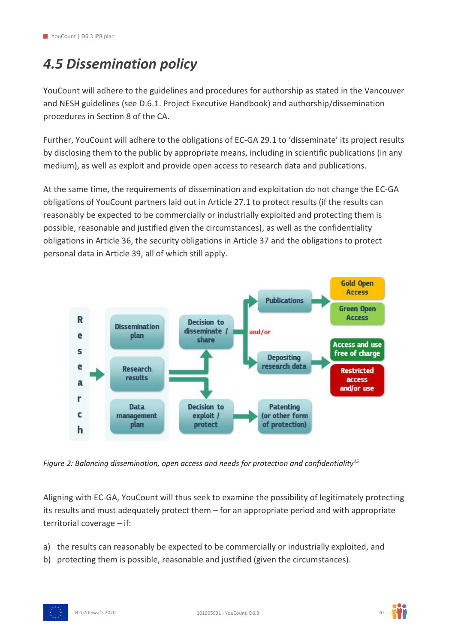### <span id="page-19-0"></span>*4.5 Dissemination policy*

YouCount will adhere to the guidelines and procedures for authorship as stated in the Vancouver and NESH guidelines (see D.6.1. Project Executive Handbook) and authorship/dissemination procedures in Section 8 of the CA.

Further, YouCount will adhere to the obligations of EC-GA 29.1 to 'disseminate' its project results by disclosing them to the public by appropriate means, including in scientific publications (in any medium), as well as exploit and provide open access to research data and publications.

At the same time, the requirements of dissemination and exploitation do not change the EC-GA obligations of YouCount partners laid out in Article 27.1 to protect results (if the results can reasonably be expected to be commercially or industrially exploited and protecting them is possible, reasonable and justified given the circumstances), as well as the confidentiality obligations in Article 36, the security obligations in Article 37 and the obligations to protect personal data in Article 39, all of which still apply.



<span id="page-19-1"></span>*Figure 2: Balancing dissemination, open access and needs for protection and confidentiality<sup>15</sup>*

Aligning with EC-GA, YouCount will thus seek to examine the possibility of legitimately protecting its results and must adequately protect them – for an appropriate period and with appropriate territorial coverage – if:

- a) the results can reasonably be expected to be commercially or industrially exploited, and
- b) protecting them is possible, reasonable and justified (given the circumstances).



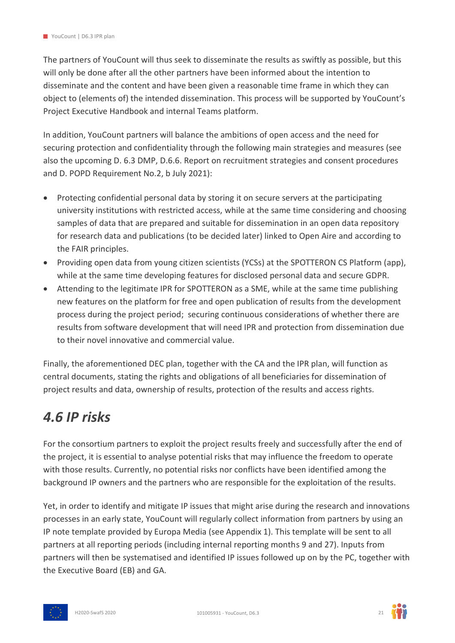The partners of YouCount will thus seek to disseminate the results as swiftly as possible, but this will only be done after all the other partners have been informed about the intention to disseminate and the content and have been given a reasonable time frame in which they can object to (elements of) the intended dissemination. This process will be supported by YouCount's Project Executive Handbook and internal Teams platform.

In addition, YouCount partners will balance the ambitions of open access and the need for securing protection and confidentiality through the following main strategies and measures (see also the upcoming D. 6.3 DMP, D.6.6. Report on recruitment strategies and consent procedures and D. POPD Requirement No.2, b July 2021):

- Protecting confidential personal data by storing it on secure servers at the participating university institutions with restricted access, while at the same time considering and choosing samples of data that are prepared and suitable for dissemination in an open data repository for research data and publications (to be decided later) linked to Open Aire and according to the FAIR principles.
- Providing open data from young citizen scientists (YCSs) at the SPOTTERON CS Platform (app), while at the same time developing features for disclosed personal data and secure GDPR.
- Attending to the legitimate IPR for SPOTTERON as a SME, while at the same time publishing new features on the platform for free and open publication of results from the development process during the project period; securing continuous considerations of whether there are results from software development that will need IPR and protection from dissemination due to their novel innovative and commercial value.

Finally, the aforementioned DEC plan, together with the CA and the IPR plan, will function as central documents, stating the rights and obligations of all beneficiaries for dissemination of project results and data, ownership of results, protection of the results and access rights.

### <span id="page-20-0"></span>*4.6 IP risks*

For the consortium partners to exploit the project results freely and successfully after the end of the project, it is essential to analyse potential risks that may influence the freedom to operate with those results. Currently, no potential risks nor conflicts have been identified among the background IP owners and the partners who are responsible for the exploitation of the results.

Yet, in order to identify and mitigate IP issues that might arise during the research and innovations processes in an early state, YouCount will regularly collect information from partners by using an IP note template provided by Europa Media (see Appendix 1). This template will be sent to all partners at all reporting periods (including internal reporting months 9 and 27). Inputs from partners will then be systematised and identified IP issues followed up on by the PC, together with the Executive Board (EB) and GA.





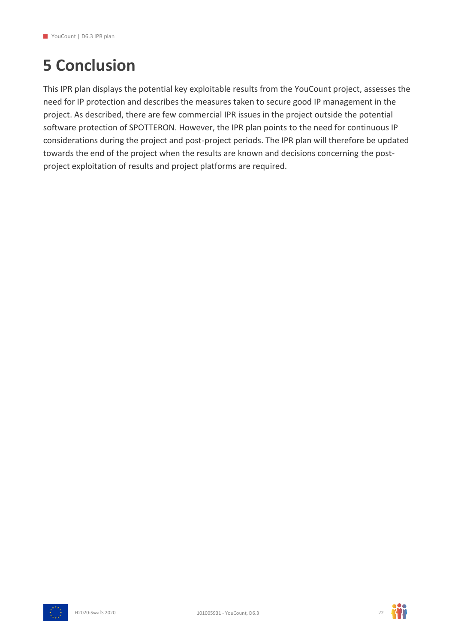## <span id="page-21-0"></span>**5 Conclusion**

This IPR plan displays the potential key exploitable results from the YouCount project, assesses the need for IP protection and describes the measures taken to secure good IP management in the project. As described, there are few commercial IPR issues in the project outside the potential software protection of SPOTTERON. However, the IPR plan points to the need for continuous IP considerations during the project and post-project periods. The IPR plan will therefore be updated towards the end of the project when the results are known and decisions concerning the postproject exploitation of results and project platforms are required.



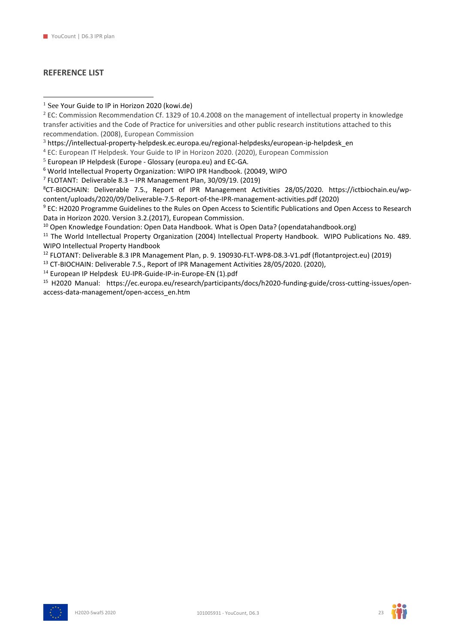#### **REFERENCE LIST**

7 FLOTANT: Deliverable 8.3 – IPR Management Plan, 30/09/19. (2019)

8CT-BIOCHAIN: Deliverable 7.5., Report of IPR Management Activities 28/05/2020. [https://ictbiochain.eu/wp](https://ictbiochain.eu/wp-content/uploads/2020/09/Deliverable-7.5-Report-of-the-IPR-management-activities.pdf)[content/uploads/2020/09/Deliverable-7.5-Report-of-the-IPR-management-activities.pdf](https://ictbiochain.eu/wp-content/uploads/2020/09/Deliverable-7.5-Report-of-the-IPR-management-activities.pdf) (2020)

<sup>9</sup> EC: H2020 Programme Guidelines to the Rules on Open Access to Scientific Publications and Open Access to Research Data in Horizon 2020. Version 3.2.(2017), European Commission.

<sup>10</sup> Open Knowledge Foundation: Open Data Handbook. [What is Open Data? \(opendatahandbook.org\)](http://opendatahandbook.org/guide/en/what-is-open-data/)

<sup>11</sup> The World Intellectual Property Organization (2004) Intellectual Property Handbook. WIPO Publications No. 489. [WIPO Intellectual Property Handbook](https://www.wipo.int/edocs/pubdocs/en/wipo_pub_489.pdf)

<sup>12</sup> FLOTANT: Deliverable 8.3 IPR Management Plan, p. 9. [190930-FLT-WP8-D8.3-V1.pdf \(flotantproject.eu\)](https://flotantproject.eu/wp-content/uploads/2020/04/190930-FLT-WP8-D8.3-V1.pdf) (2019)

<sup>13</sup> CT-BIOCHAIN: Deliverable 7.5., Report of IPR Management Activities 28/05/2020. (2020),

<sup>14</sup> European IP Helpdesk [EU-IPR-Guide-IP-in-Europe-EN \(1\).pdf](file:///C:/Users/nore/Downloads/EU-IPR-Guide-IP-in-Europe-EN%20(1).pdf)

<sup>15</sup> H2020 Manual: [https://ec.europa.eu/research/participants/docs/h2020-funding-guide/cross-cutting-issues/open](https://ec.europa.eu/research/participants/docs/h2020-funding-guide/cross-cutting-issues/open-access-data-management/open-access_en.htm)[access-data-management/open-access\\_en.htm](https://ec.europa.eu/research/participants/docs/h2020-funding-guide/cross-cutting-issues/open-access-data-management/open-access_en.htm)





 $1$  See [Your Guide to IP in Horizon 2020 \(kowi.de\)](https://www.kowi.de/Portaldata/2/Resources/horizon2020/EU-IPR-Guide-to-IP-H2020.pdf)

<sup>&</sup>lt;sup>2</sup> EC: Commission Recommendation Cf. 1329 of 10.4.2008 on the management of intellectual property in knowledge transfer activities and the Code of Practice for universities and other public research institutions attached to this recommendation. (2008), European Commission

<sup>3</sup> [https://intellectual-property-helpdesk.ec.europa.eu/regional-helpdesks/european-ip-helpdesk\\_en](https://intellectual-property-helpdesk.ec.europa.eu/regional-helpdesks/european-ip-helpdesk_en)

<sup>4</sup> EC: European IT Helpdesk. Your Guide to IP in Horizon 2020. (2020), European Commission

<sup>5</sup> European IP Helpdesk (Europe - [Glossary \(europa.eu\)](https://intellectual-property-helpdesk.ec.europa.eu/regional-helpdesks/european-ip-helpdesk/europe-glossary_en) and EC-GA.

<sup>6</sup> World Intellectual Property Organization: WIPO IPR Handbook. (20049, WIPO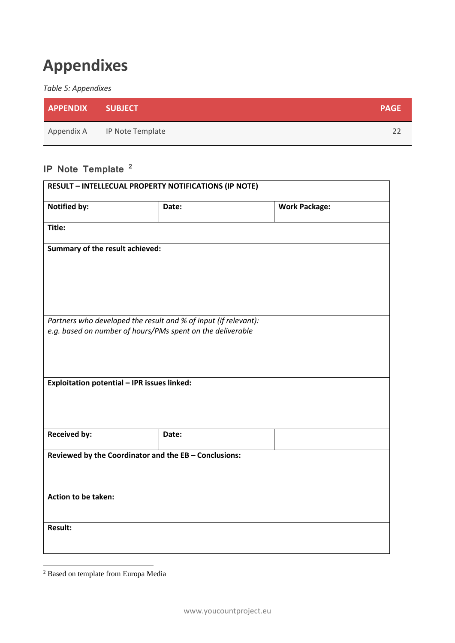## <span id="page-23-0"></span>**Appendixes**

#### <span id="page-23-1"></span>*Table 5: Appendixes*

| <b>APPENDIX SUBJECT</b> |                             | <b>PAGE</b> |
|-------------------------|-----------------------------|-------------|
|                         | Appendix A IP Note Template |             |

### **IP Note Template <sup>2</sup>**

| <b>RESULT - INTELLECUAL PROPERTY NOTIFICATIONS (IP NOTE)</b>    |       |                      |  |  |
|-----------------------------------------------------------------|-------|----------------------|--|--|
| <b>Notified by:</b>                                             | Date: | <b>Work Package:</b> |  |  |
| Title:                                                          |       |                      |  |  |
| Summary of the result achieved:                                 |       |                      |  |  |
| Partners who developed the result and % of input (if relevant): |       |                      |  |  |
| e.g. based on number of hours/PMs spent on the deliverable      |       |                      |  |  |
| Exploitation potential - IPR issues linked:                     |       |                      |  |  |
| <b>Received by:</b>                                             | Date: |                      |  |  |
| Reviewed by the Coordinator and the EB - Conclusions:           |       |                      |  |  |
| Action to be taken:                                             |       |                      |  |  |
| <b>Result:</b>                                                  |       |                      |  |  |

<sup>2</sup> Based on template from Europa Media